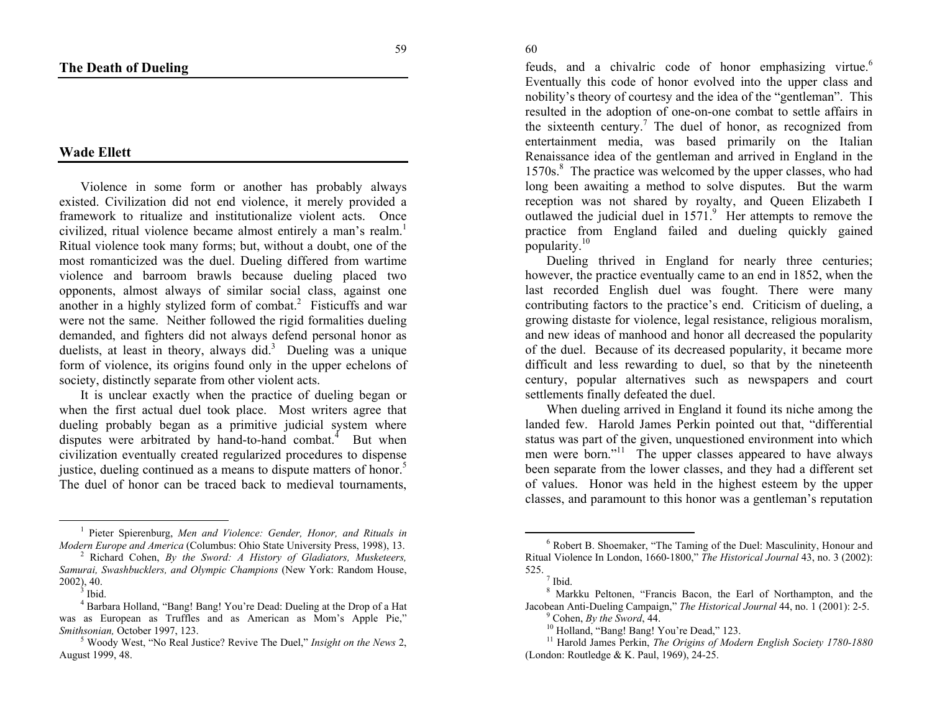## <span id="page-0-4"></span><span id="page-0-3"></span><span id="page-0-2"></span><span id="page-0-1"></span><span id="page-0-0"></span>**Wade Ellett**

Violence in some form or another has probably always existed. Civilization did not end violence, it merely provided a framework to ritualize and institutionalize violent acts. Once civilized, ritual violence became almost entirely a man's realm.<sup>[1](#page-0-0)</sup> Ritual violence took many forms; but, without a doubt, one of the most romanticized was the duel. Dueling differed from wartime violence and barroom brawls because dueling placed two opponents, almost always of similar social class, against one another in a highly stylized form of combat.<sup>2</sup> Fisticuffs and war were not the same. Neither followed the rigid formalities dueling demanded, and fighters did not always defend personal honor as duelists, at least in theory, always did.<sup>[3](#page-0-2)</sup> Dueling was a unique form of violence, its origins found only in the upper echelons of society, distinctly separate from other violent acts.

It is unclear exactly when the practice of dueling began or when the first actual duel took place. Most writers agree that dueling probably began as a primitive judicial system where disputes were arbitrated by hand-to-hand combat. $\frac{4}{3}$  $\frac{4}{3}$  $\frac{4}{3}$  But when civilization eventually created regularized procedures to dispense justice, dueling continued as a means to dispute matters of honor.<sup>[5](#page-0-4)</sup> The duel of honor can be traced back to medieval tournaments,

feuds, and a chivalric code of honor emphasizing virtue.<sup>6</sup> Eventually this code of honor evolved into the upper class and nobility's theory of courtesy and the idea of the "gentleman". This resulted in the adoption of one-on-one combat to settle affairs in the sixteenth century.<sup>7</sup> The duel of honor, as recognized from entertainment media, was based primarily on the Italian Renaissance idea of the gentleman and arrived in England in the 1570s.<sup>8</sup> The practice was welcomed by the upper classes, who had long been awaiting a method to solve disputes. But the warm reception was not shared by royalty, and Queen Elizabeth I outlawed the judicial duel in  $1571<sup>9</sup>$  Her attempts to remove the practice from England failed and dueling quickly gained popularity.<sup>10</sup>

Dueling thrived in England for nearly three centuries; however, the practice eventually came to an end in 1852, when the last recorded English duel was fought. There were many contributing factors to the practice's end. Criticism of dueling, a growing distaste for violence, legal resistance, religious moralism, and new ideas of manhood and honor all decreased the popularity of the duel. Because of its decreased popularity, it became more difficult and less rewarding to duel, so that by the nineteenth century, popular alternatives such as newspapers and court settlements finally defeated the duel.

When dueling arrived in England it found its niche among the landed few. Harold James Perkin pointed out that, "differential status was part of the given, unquestioned environment into which men were born."<sup>11</sup> The upper classes appeared to have always been separate from the lower classes, and they had a different set of values. Honor was held in the highest esteem by the upper classes, and paramount to this honor was a gentleman's reputation

60

<sup>1</sup> Pieter Spierenburg, *Men and Violence: Gender, Honor, and Rituals in Modern Europe and America* (Columbus: Ohio State University Press, 1998), 13. 2 Richard Cohen, *By the Sword: A History of Gladiators, Musketeers,* 

*Samurai, Swashbucklers, and Olympic Champions* (New York: Random House,  $2002$ ), 40.<br> $\frac{3}{3}$  Ibid.

<sup>&</sup>lt;sup>4</sup> Barbara Holland, "Bang! Bang! You're Dead: Dueling at the Drop of a Hat was as European as Truffles and as American as Mom's Apple Pie,"<br>Smithsonian October 1997, 123.

<sup>&</sup>lt;sup>5</sup> Woody West, "No Real Justice? Revive The Duel," *Insight on the News* 2, August 1999, 48.

<sup>6</sup> Robert B. Shoemaker, "The Taming of the Duel: Masculinity, Honour and Ritual Violence In London, 1660-1800," *The Historical Journal* 43, no. 3 (2002): 525.  $\frac{7}{1}$  Ibid.

<sup>8</sup> Markku Peltonen, "Francis Bacon, the Earl of Northampton, and the Jacobean Anti-Dueling Campaign," *The Historical Journal* 44, no. 1 (2001): 2-5. 9 Cohen, *By the Sword*, 44.

<sup>&</sup>lt;sup>10</sup> Holland, "Bang! Bang! You're Dead," 123.

<sup>&</sup>lt;sup>11</sup> Harold James Perkin, *The Origins of Modern English Society 1780-1880* (London: Routledge & K. Paul, 1969), 24-25.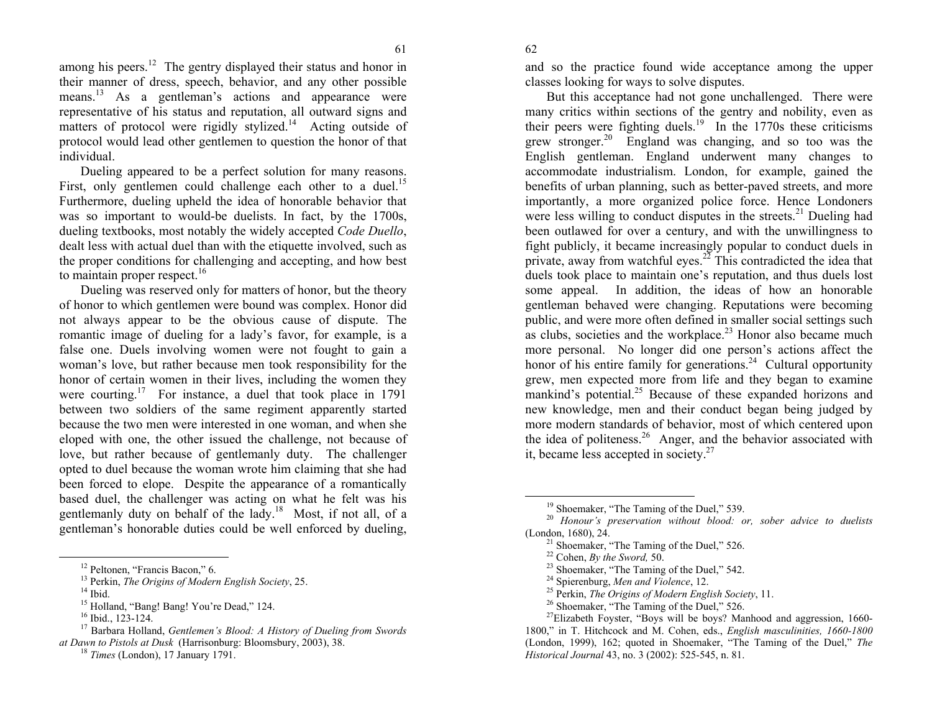62

61

<span id="page-1-5"></span><span id="page-1-4"></span><span id="page-1-3"></span><span id="page-1-2"></span><span id="page-1-1"></span><span id="page-1-0"></span>amo[n](#page-1-0)g his peers.<sup>12</sup> The gentry displayed their status and honor in their manner of dress, speech, behavior, and any other possible means.<sup>13</sup> As a gentleman's actions and appearance were representative of his status and reputation, all outward signs and matters of protocol [we](#page-1-1)re rigidly stylized.<sup>14</sup> Acting outside of protocol would lead other gentlemen to question the honor of that individual.

D[ue](#page-1-2)ling appeared to be a perfect solution for many reasons. First, only gentlemen could challenge each other to a duel.<sup>15</sup> Furthermore, dueling upheld the idea of honorable behavior that was so important to would-be d[ue](#page-1-3)lists. In fact, by the 1700s, dueling textbooks, most notably the widely accepted *Code Duello*, dealt less [wit](#page-1-4)h actual duel than with the etiquette involved, such as the proper conditions for challenging and accepting, and how best to maintain proper respect. $16$ 

Dueling was reserved only for matters of honor, but the theory of honor to which gentlemen were bound was complex. Honor did not always appear to be the obvious cause of dispute. The romantic image of dueling for a lady's favor, for example, is a false one. Duels involving women were not fought to gain a woman's love, but rather because men took responsibility for the honor of certain women in their lives, including the women they were courting.<sup>17</sup> For instance, a duel that took place in  $1791$ between two soldiers of the same regiment apparently started because the two men were interested in one woman, and when she eloped with one, the other issued the challenge, not because of love, but rather [be](#page-1-5)cause of gentlemanly duty. The challenger opted to duel because the woman wrote him claiming that she had been forced to elope. Despite the appearance of a romantically based duel, the challenger was acting on what he felt was his gentlemanly duty on behalf of the lady.18 Most, if not all, of a gentleman's honorable duties could be well enforced by dueling,

and so the practice found wide acceptance among the upper classes looking for ways to solve disputes.

But this acceptance had not gone unchallenged. There were many critics within sections of the gentry and nobility, even as their peers were fighting duels.<sup>19</sup> In the 1770s these criticisms grew stronger.<sup>20</sup> England was changing, and so too was the English gentleman. England underwent many changes to accommodate industrialism. London, for example, gained the benefits of urban planning, such as better-paved streets, and more importantly, a more organized police force. Hence Londoners were less willing to conduct disputes in the streets.<sup>21</sup> Dueling had been outlawed for over a century, and with the unwillingness to fight publicly, it became increasingly popular to conduct duels in private, away from watchful eyes.<sup>22</sup> This contradicted the idea that duels took place to maintain one's reputation, and thus duels lost some appeal. In addition, the ideas of how an honorable gentleman behaved were changing. Reputations were becoming public, and were more often defined in smaller social settings such as clubs, societies and the workplace.<sup>23</sup> Honor also became much more personal. No longer did one person's actions affect the honor of his entire family for generations.<sup>24</sup> Cultural opportunity grew, men expected more from life and they began to examine mankind's potential.<sup>25</sup> Because of these expanded horizons and new knowledge, men and their conduct began being judged by more modern standards of behavior, most of which centered upon the idea of politeness.<sup>26</sup> Anger, and the behavior associated with it, became less accepted in society.<sup>27</sup>

<sup>12</sup> Peltonen, "Francis Bacon," 6.

<sup>13</sup> Perkin, *The Origins of Modern English Society*, 25.

 $14$  Ibid.

<sup>&</sup>lt;sup>15</sup> Holland, "Bang! Bang! You're Dead," 124.

 $16$  Ibid., 123-124.

<sup>17</sup> Barbara Holland, *Gentlemen's Blood: A History of Dueling from Swords at Dawn to Pistols at Dusk* (Harrisonburg: Bloomsbury, 2003), 38.

<sup>18</sup> *Times* (London), 17 January 1791.

<sup>&</sup>lt;sup>19</sup> Shoemaker, "The Taming of the Duel," 539.

<sup>20</sup> *Honour's preservation without blood: or, sober advice to duelists*  (London, 1680), 24.

<sup>&</sup>lt;sup>21</sup> Shoemaker, "The Taming of the Duel," 526.

<sup>22</sup> Cohen, *By the Sword,* 50.

<sup>&</sup>lt;sup>23</sup> Shoemaker, "The Taming of the Duel," 542.

<sup>24</sup> Spierenburg, *Men and Violence*, 12.

<sup>25</sup> Perkin, *The Origins of Modern English Society*, 11.

<sup>&</sup>lt;sup>26</sup> Shoemaker, "The Taming of the Duel," 526.

 $^{27}$ Elizabeth Foyster, "Boys will be boys? Manhood and aggression, 1660-1800," in T. Hitchcock and M. Cohen, eds., *English masculinities, 1660-1800* (London, 1999), 162; quoted in Shoemaker, "The Taming of the Duel," *The Historical Journal* 43, no. 3 (2002): 525-545, n. 81.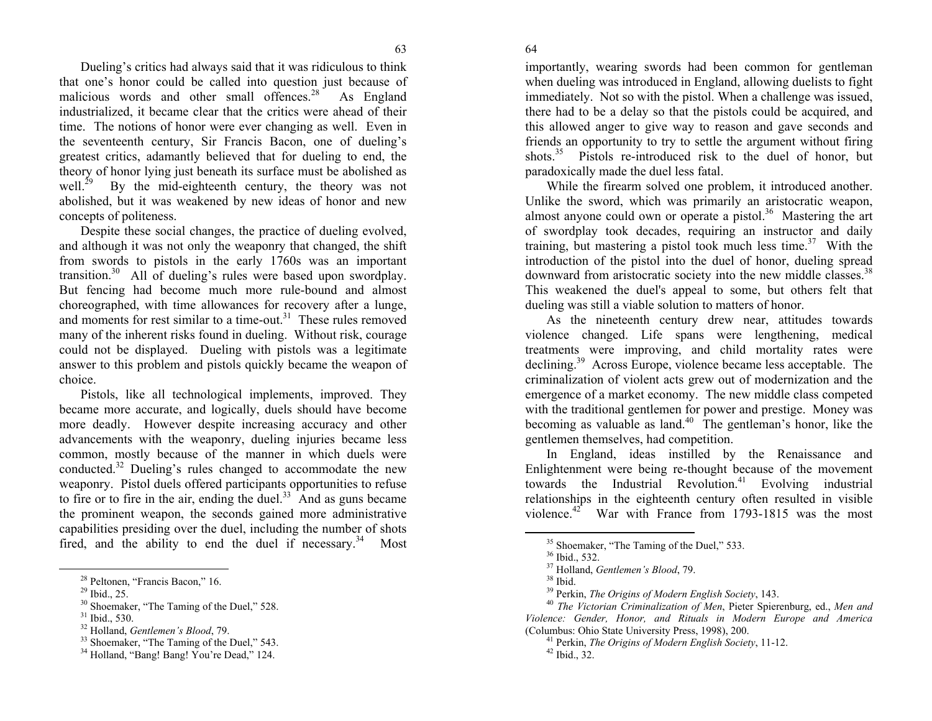64

<span id="page-2-6"></span><span id="page-2-5"></span><span id="page-2-4"></span><span id="page-2-3"></span><span id="page-2-2"></span><span id="page-2-1"></span><span id="page-2-0"></span>Dueling's cri[tic](#page-2-0)s had always said that it was ridiculous to think that one's honor could be called into question just because of malici[ous](#page-2-1) words and other small offences.<sup>28</sup> As England industrialized, it became clear that the critics were ahead of their time. The notions of honor were ever cha[ngi](#page-2-2)ng as well. Even in the seventeenth century, Sir Francis Bacon, one of dueling's greatest critics, adamantly believed that for dueling to end, the theory of honor lying just beneath its surface must be abolished as<br>well.<sup>29</sup> By the mid-eighteenth century, the theory was not By the mid-eighteenth century, the theory was not abolished, but it was weakened by new ideas of honor and new concepts of politeness.

Despite these social changes, the practice of dueling evolved, and although it was not only the weaponry that changed, the shift from swords to pistols in the early 1760s was an important transition.<sup>30</sup> All of dueli[ng'](#page-2-4)s rules were based upon swordplay. But fencing had become much more rule-bound and almost choreographed, with time allowances for recovery after a lunge, and moments for rest similar to a time-out. $31$  These rules removed many of the inherent risks found in dueling. Without risk, courage could not be displayed. Dueling with pistols was a legitimate answer to this problem and pistols quickly became the weapon of choice.

Pistols, li[ke](#page-2-5) all technological implements, improved. They became more accurate, and logically, duels should have become more deadly. However despite increasing accuracy and other advancements with the weaponry, dueling injuries became less common, mostly because of the manner in which duels were conducted.32 Dueling's rules changed to accommodate the new weaponry. Pistol duels offered participants opportunities to refuse to fire or to fire in the air, ending the duel. $33$  And as guns became the prominent weapon, the seconds ga[ine](#page-2-6)d more administrative capabilities presiding over the duel, including the number of shots fired, and the ability to end the duel if necessary.<sup>34</sup> Most

28 Peltonen, "Francis Bacon," 16.

importantly, wearing swords had been common for gentleman when dueling was introduced in England, allowing duelists to fight immediately. Not so with the pistol. When a challenge was issued, there had to be a delay so that the pistols could be acquired, and this allowed anger to give way to reason and gave seconds and friends an opportunity to try to settle the argument without firing shots.<sup>35</sup> Pistols re-introduced risk to the duel of honor, but paradoxically made the duel less fatal.

While the firearm solved one problem, it introduced another. Unlike the sword, which was primarily an aristocratic weapon, almost anyone could own or operate a pistol. $36$  Mastering the art of swordplay took decades, requiring an instructor and daily training, but mastering a pistol took much less time. $37$  With the introduction of the pistol into the duel of honor, dueling spread downward from aristocratic society into the new middle classes.<sup>38</sup> This weakened the duel's appeal to some, but others felt that dueling was still a viable solution to matters of honor.

As the nineteenth century drew near, attitudes towards violence changed. Life spans were lengthening, medical treatments were improving, and child mortality rates were declining.<sup>39</sup> Across Europe, violence became less acceptable. The criminalization of violent acts grew out of modernization and the emergence of a market economy. The new middle class competed with the traditional gentlemen for power and prestige. Money was becoming as valuable as land.<sup>40</sup> The gentleman's honor, like the gentlemen themselves, had competition.

In England, ideas instilled by the Renaissance and Enlightenment were being re-thought because of the movement towards the Industrial Revolution.<sup>41</sup> Evolving industrial relationships in the eighteenth century often resulted in visible violence.<sup>42</sup> War with France from 1793-1815 was the most

 $^{29}$  Ibid., 25.

<sup>&</sup>lt;sup>30</sup> Shoemaker, "The Taming of the Duel," 528.

 $31$  Ibid., 530.

<sup>32</sup> Holland, *Gentlemen's Blood*, 79.

<sup>&</sup>lt;sup>33</sup> Shoemaker, "The Taming of the Duel," 543.

<sup>&</sup>lt;sup>34</sup> Holland, "Bang! Bang! You're Dead," 124.

<sup>&</sup>lt;sup>35</sup> Shoemaker, "The Taming of the Duel," 533.

<sup>36</sup> Ibid., 532.

<sup>37</sup> Holland, *Gentlemen's Blood*, 79.

 $38$  Ibid.

<sup>39</sup> Perkin, *The Origins of Modern English Society*, 143.

<sup>40</sup> *The Victorian Criminalization of Men*, Pieter Spierenburg, ed., *Men and Violence: Gender, Honor, and Rituals in Modern Europe and America* (Columbus: Ohio State University Press, 1998), 200.

<sup>41</sup> Perkin, *The Origins of Modern English Society*, 11-12.  $42$  Ibid., 32.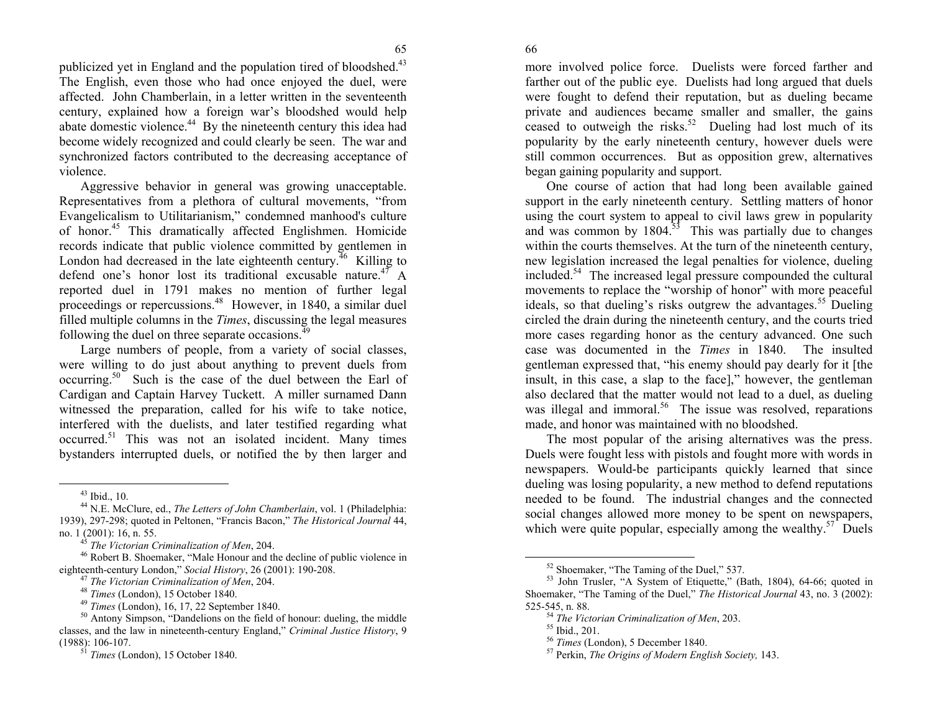66

<span id="page-3-8"></span><span id="page-3-7"></span><span id="page-3-6"></span><span id="page-3-5"></span><span id="page-3-4"></span><span id="page-3-3"></span><span id="page-3-2"></span><span id="page-3-1"></span><span id="page-3-0"></span>publicized yet in England and the population tired of bloodshed.<sup>43</sup> The English, even those who had once enjoyed the duel, were affected. John Chamberlain, in a letter written in the seventeenth century, explained how a foreign war's bloodshed would help abate domestic violence.<sup>44</sup> By t[he](#page-3-0) [n](#page-3-0)ineteenth century this idea had become widel[y re](#page-3-1)cognized and could clearly be seen. The war and synchronized factors contributed to the decreasing acceptance of violence.

Aggressive behavior in general was growing unacceptable. Representatives from a plethora of cultural movements, "from Evangelicalism to Utilitarianism," condemned ma[nho](#page-3-2)od's culture of honor.45 This dramatically affected Englishmen. Homicide records indicate that public violence committed by gentlemen in London had decreased in the late [ei](#page-3-3)ghteenth century.<sup>46</sup> Killing to defend one's honor lost its traditional excusable nature.<sup>47</sup> A reported duel in 1791 makes no mention of further legal proceedings or repercussions.48 However, in 1840, a similar duel filled multiple columns in the *Times*, discussing the legal measures following the duel on three separate o[cca](#page-3-4)sions. $^{49}$ 

Large numbers of people, from a variety of social classes, were willing to do just about anything [to](#page-3-5) prevent duels from occurring.50 Such is the case of the duel between the Earl of Cardigan and Captai[n H](#page-3-6)arvey Tuckett. A miller surnamed Dann witnessed the preparation, called for his wife to take notice, interfered with the duelists, and later testified regarding what occurred.51 This wa[s](#page-3-7) not an isolated incident. Many times bystanders interrupted duels, or [not](#page-3-8)ified the by then larger and

46 Robert B. Shoemaker, "Male Honour and the decline of public violence in eighteenth-century London," *Social History*, 26 (2001): 190-208.

more involved police force. Duelists were forced farther and farther out of the public eye. Duelists had long argued that duels were fought to defend their reputation, but as dueling became private and audiences became smaller and smaller, the gains ceased to outweigh the risks.<sup>52</sup> Dueling had lost much of its popularity by the early nineteenth century, however duels were still common occurrences. But as opposition grew, alternatives began gaining popularity and support.

One course of action that had long been available gained support in the early nineteenth century. Settling matters of honor using the court system to appeal to civil laws grew in popularity and was common by  $1804$ <sup>33</sup>. This was partially due to changes within the courts themselves. At the turn of the nineteenth century, new legislation increased the legal penalties for violence, dueling included.54 The increased legal pressure compounded the cultural movements to replace the "worship of honor" with more peaceful ideals, so that dueling's risks outgrew the advantages.<sup>55</sup> Dueling circled the drain during the nineteenth century, and the courts tried more cases regarding honor as the century advanced. One such case was documented in the *Times* in 1840. The insulted gentleman expressed that, "his enemy should pay dearly for it [the insult, in this case, a slap to the face]," however, the gentleman also declared that the matter would not lead to a duel, as dueling was illegal and immoral.<sup>56</sup> The issue was resolved, reparations made, and honor was maintained with no bloodshed.

The most popular of the arising alternatives was the press. Duels were fought less with pistols and fought more with words in newspapers. Would-be participants quickly learned that since dueling was losing popularity, a new method to defend reputations needed to be found. The industrial changes and the connected social changes allowed more money to be spent on newspapers, which were quite popular, especially among the wealthy.<sup>57</sup> Duels

<sup>43</sup> Ibid., 10.

<sup>44</sup> N.E. McClure, ed., *The Letters of John Chamberlain*, vol. 1 (Philadelphia: 1939), 297-298; quoted in Peltonen, "Francis Bacon," *The Historical Journal* 44, no. 1 (2001): 16, n. 55.

<sup>45</sup>*The Victorian Criminalization of Men*, 204.

<sup>47</sup> *The Victorian Criminalization of Men*, 204.

<sup>48</sup> *Times* (London), 15 October 1840.

<sup>49</sup> *Times* (London), 16, 17, 22 September 1840.

<sup>&</sup>lt;sup>50</sup> Antony Simpson, "Dandelions on the field of honour: dueling, the middle classes, and the law in nineteenth-century England," *Criminal Justice History*, 9 (1988): 106-107.

<sup>51</sup> *Times* (London), 15 October 1840.

<sup>52</sup> Shoemaker, "The Taming of the Duel," 537.

 $53$  John Trusler, "A System of Etiquette," (Bath, 1804), 64-66; quoted in Shoemaker, "The Taming of the Duel," *The Historical Journal* 43, no. 3 (2002): 525-545, n. 88.

<sup>54</sup> *The Victorian Criminalization of Men*, 203.

<sup>55</sup> Ibid., 201.

<sup>56</sup> *Times* (London), 5 December 1840.

<sup>57</sup> Perkin, *The Origins of Modern English Society,* 143.